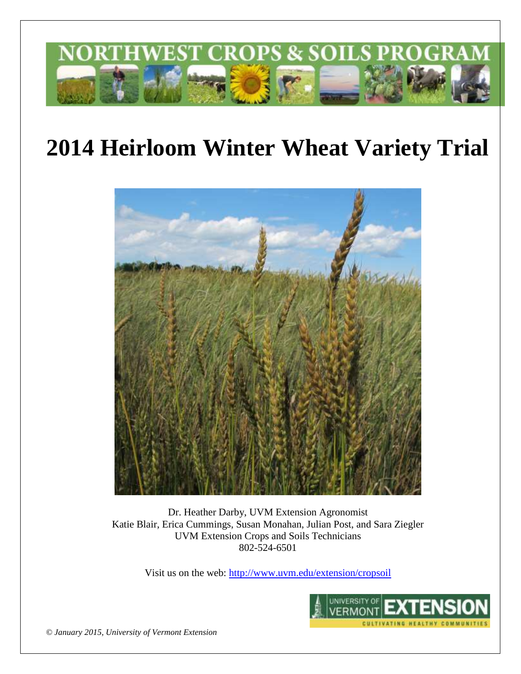

# **2014 Heirloom Winter Wheat Variety Trial**



Dr. Heather Darby, UVM Extension Agronomist Katie Blair, Erica Cummings, Susan Monahan, Julian Post, and Sara Ziegler UVM Extension Crops and Soils Technicians 802-524-6501

Visit us on the web: <http://www.uvm.edu/extension/cropsoil>



*© January 2015, University of Vermont Extension*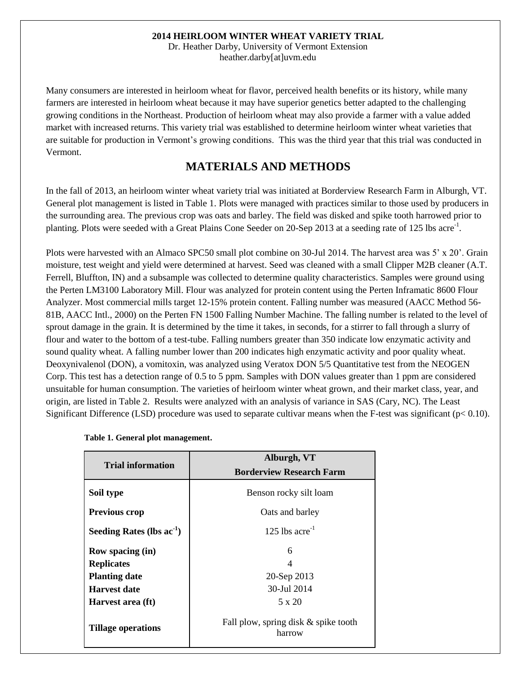#### **2014 HEIRLOOM WINTER WHEAT VARIETY TRIAL**

Dr. Heather Darby, University of Vermont Extension heather.darby[at]uvm.edu

Many consumers are interested in heirloom wheat for flavor, perceived health benefits or its history, while many farmers are interested in heirloom wheat because it may have superior genetics better adapted to the challenging growing conditions in the Northeast. Production of heirloom wheat may also provide a farmer with a value added market with increased returns. This variety trial was established to determine heirloom winter wheat varieties that are suitable for production in Vermont's growing conditions. This was the third year that this trial was conducted in Vermont.

### **MATERIALS AND METHODS**

In the fall of 2013, an heirloom winter wheat variety trial was initiated at Borderview Research Farm in Alburgh, VT. General plot management is listed in Table 1. Plots were managed with practices similar to those used by producers in the surrounding area. The previous crop was oats and barley. The field was disked and spike tooth harrowed prior to planting. Plots were seeded with a Great Plains Cone Seeder on 20-Sep 2013 at a seeding rate of 125 lbs acre<sup>-1</sup>.

Plots were harvested with an Almaco SPC50 small plot combine on 30-Jul 2014. The harvest area was 5' x 20'. Grain moisture, test weight and yield were determined at harvest. Seed was cleaned with a small Clipper M2B cleaner (A.T. Ferrell, Bluffton, IN) and a subsample was collected to determine quality characteristics. Samples were ground using the Perten LM3100 Laboratory Mill. Flour was analyzed for protein content using the Perten Inframatic 8600 Flour Analyzer. Most commercial mills target 12-15% protein content. Falling number was measured (AACC Method 56- 81B, AACC Intl., 2000) on the Perten FN 1500 Falling Number Machine. The falling number is related to the level of sprout damage in the grain. It is determined by the time it takes, in seconds, for a stirrer to fall through a slurry of flour and water to the bottom of a test-tube. Falling numbers greater than 350 indicate low enzymatic activity and sound quality wheat. A falling number lower than 200 indicates high enzymatic activity and poor quality wheat. Deoxynivalenol (DON), a vomitoxin, was analyzed using Veratox DON 5/5 Quantitative test from the NEOGEN Corp. This test has a detection range of 0.5 to 5 ppm. Samples with DON values greater than 1 ppm are considered unsuitable for human consumption. The varieties of heirloom winter wheat grown, and their market class, year, and origin, are listed in Table 2. Results were analyzed with an analysis of variance in SAS (Cary, NC). The Least Significant Difference (LSD) procedure was used to separate cultivar means when the F-test was significant (p< 0.10).

| <b>Trial information</b>       | Alburgh, VT                                    |
|--------------------------------|------------------------------------------------|
|                                | <b>Borderview Research Farm</b>                |
| Soil type                      | Benson rocky silt loam                         |
| <b>Previous crop</b>           | Oats and barley                                |
| Seeding Rates (lbs $ac^{-1}$ ) | 125 lbs $\arccos 1$                            |
| <b>Row spacing (in)</b>        | 6                                              |
| <b>Replicates</b>              |                                                |
| <b>Planting date</b>           | 20-Sep 2013                                    |
| <b>Harvest date</b>            | 30-Jul 2014                                    |
| Harvest area (ft)              | 5 x 20                                         |
| <b>Tillage operations</b>      | Fall plow, spring disk & spike tooth<br>harrow |

|  | Table 1. General plot management. |
|--|-----------------------------------|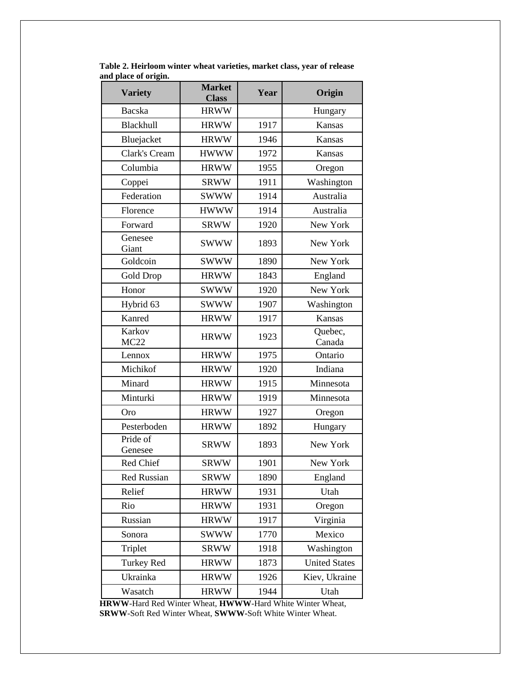| <b>Variety</b>      | <b>Market</b><br><b>Class</b> | Year | Origin               |
|---------------------|-------------------------------|------|----------------------|
| <b>Bacska</b>       | <b>HRWW</b>                   |      | Hungary              |
| Blackhull           | <b>HRWW</b>                   | 1917 | <b>Kansas</b>        |
| Bluejacket          | <b>HRWW</b>                   | 1946 | Kansas               |
| Clark's Cream       | <b>HWWW</b>                   | 1972 | Kansas               |
| Columbia            | <b>HRWW</b>                   | 1955 | Oregon               |
| Coppei              | <b>SRWW</b>                   | 1911 | Washington           |
| Federation          | <b>SWWW</b>                   | 1914 | Australia            |
| Florence            | <b>HWWW</b>                   | 1914 | Australia            |
| Forward             | <b>SRWW</b>                   | 1920 | New York             |
| Genesee<br>Giant    | <b>SWWW</b>                   | 1893 | New York             |
| Goldcoin            | <b>SWWW</b>                   | 1890 | New York             |
| Gold Drop           | <b>HRWW</b>                   | 1843 | England              |
| Honor               | <b>SWWW</b>                   | 1920 | New York             |
| Hybrid 63           | <b>SWWW</b>                   | 1907 | Washington           |
| Kanred              | <b>HRWW</b>                   | 1917 | Kansas               |
| Karkov<br>MC22      | <b>HRWW</b>                   | 1923 | Quebec,<br>Canada    |
| Lennox              | <b>HRWW</b>                   | 1975 | Ontario              |
| Michikof            | <b>HRWW</b>                   | 1920 | Indiana              |
| Minard              | <b>HRWW</b>                   | 1915 | Minnesota            |
| Minturki            | <b>HRWW</b>                   | 1919 | Minnesota            |
| Oro                 | <b>HRWW</b>                   | 1927 | Oregon               |
| Pesterboden         | <b>HRWW</b>                   | 1892 | Hungary              |
| Pride of<br>Genesee | <b>SRWW</b>                   | 1893 | New York             |
| Red Chief           | <b>SRWW</b>                   | 1901 | New York             |
| Red Russian         | <b>SRWW</b>                   | 1890 | England              |
| Relief              | <b>HRWW</b>                   | 1931 | Utah                 |
| Rio                 | <b>HRWW</b>                   | 1931 | Oregon               |
| Russian             | <b>HRWW</b>                   | 1917 | Virginia             |
| Sonora              | <b>SWWW</b>                   | 1770 | Mexico               |
| Triplet             | <b>SRWW</b>                   | 1918 | Washington           |
| <b>Turkey Red</b>   | <b>HRWW</b>                   | 1873 | <b>United States</b> |
| Ukrainka            | <b>HRWW</b>                   | 1926 | Kiev, Ukraine        |
| Wasatch             | <b>HRWW</b>                   | 1944 | Utah                 |

**Table 2. Heirloom winter wheat varieties, market class, year of release and place of origin.** 

**HRWW**-Hard Red Winter Wheat, **HWWW**-Hard White Winter Wheat, **SRWW**-Soft Red Winter Wheat, **SWWW-**Soft White Winter Wheat.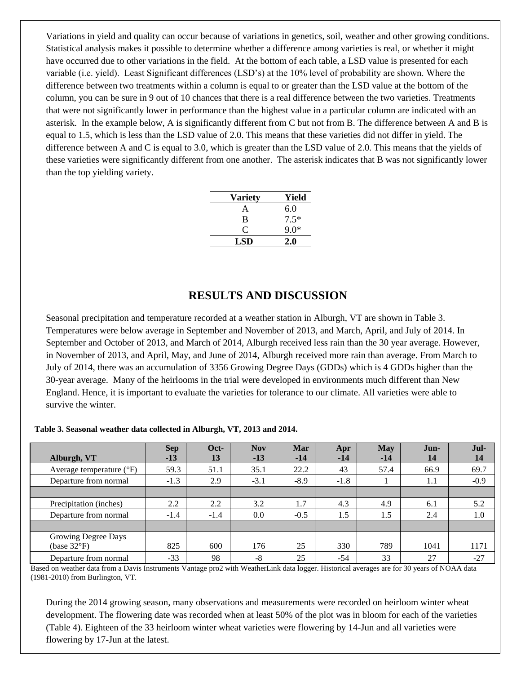Variations in yield and quality can occur because of variations in genetics, soil, weather and other growing conditions. Statistical analysis makes it possible to determine whether a difference among varieties is real, or whether it might have occurred due to other variations in the field. At the bottom of each table, a LSD value is presented for each variable (i.e. yield). Least Significant differences (LSD's) at the 10% level of probability are shown. Where the difference between two treatments within a column is equal to or greater than the LSD value at the bottom of the column, you can be sure in 9 out of 10 chances that there is a real difference between the two varieties. Treatments that were not significantly lower in performance than the highest value in a particular column are indicated with an asterisk. In the example below, A is significantly different from C but not from B. The difference between A and B is equal to 1.5, which is less than the LSD value of 2.0. This means that these varieties did not differ in yield. The difference between A and C is equal to 3.0, which is greater than the LSD value of 2.0. This means that the yields of these varieties were significantly different from one another. The asterisk indicates that B was not significantly lower than the top yielding variety.

| <b>Variety</b> | Yield  |
|----------------|--------|
| A              | 6.0    |
| B              | $7.5*$ |
| C              | $9.0*$ |
| LSD            | 2.0    |

#### **RESULTS AND DISCUSSION**

Seasonal precipitation and temperature recorded at a weather station in Alburgh, VT are shown in Table 3. Temperatures were below average in September and November of 2013, and March, April, and July of 2014. In September and October of 2013, and March of 2014, Alburgh received less rain than the 30 year average. However, in November of 2013, and April, May, and June of 2014, Alburgh received more rain than average. From March to July of 2014, there was an accumulation of 3356 Growing Degree Days (GDDs) which is 4 GDDs higher than the 30-year average. Many of the heirlooms in the trial were developed in environments much different than New England. Hence, it is important to evaluate the varieties for tolerance to our climate. All varieties were able to survive the winter.

| Alburgh, VT                        | <b>Sep</b><br>$-13$ | Oct-<br>13 | <b>Nov</b><br>$-13$ | Mar<br>$-14$ | Apr<br>$-14$ | <b>May</b><br>$-14$ | Jun-<br>14 | Jul-<br>14 |
|------------------------------------|---------------------|------------|---------------------|--------------|--------------|---------------------|------------|------------|
| Average temperature $(^{\circ}F)$  | 59.3                | 51.1       | 35.1                | 22.2         | 43           | 57.4                | 66.9       | 69.7       |
| Departure from normal              | $-1.3$              | 2.9        | $-3.1$              | $-8.9$       | $-1.8$       |                     | 1.1        | $-0.9$     |
|                                    |                     |            |                     |              |              |                     |            |            |
| Precipitation (inches)             | 2.2                 | 2.2        | 3.2                 | 1.7          | 4.3          | 4.9                 | 6.1        | 5.2        |
| Departure from normal              | $-1.4$              | $-1.4$     | 0.0                 | $-0.5$       | 1.5          | 1.5                 | 2.4        | 1.0        |
|                                    |                     |            |                     |              |              |                     |            |            |
| Growing Degree Days<br>(base 32°F) | 825                 | 600        | 176                 | 25           | 330          | 789                 | 1041       | 1171       |
| Departure from normal              | $-33$               | 98         | -8                  | 25           | $-54$        | 33                  | 27         | $-27$      |

**Table 3. Seasonal weather data collected in Alburgh, VT, 2013 and 2014.**

Based on weather data from a Davis Instruments Vantage pro2 with WeatherLink data logger. Historical averages are for 30 years of NOAA data (1981-2010) from Burlington, VT.

During the 2014 growing season, many observations and measurements were recorded on heirloom winter wheat development. The flowering date was recorded when at least 50% of the plot was in bloom for each of the varieties (Table 4). Eighteen of the 33 heirloom winter wheat varieties were flowering by 14-Jun and all varieties were flowering by 17-Jun at the latest.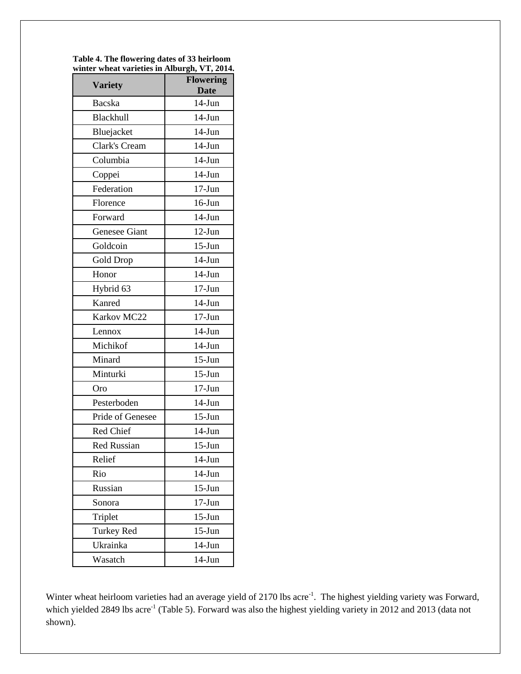**Table 4. The flowering dates of 33 heirloom winter wheat varieties in Alburgh, VT, 2014.** 

| <b>Variety</b>     | <b>Flowering</b><br><b>Date</b> |
|--------------------|---------------------------------|
| Bacska             | $14-J$ un                       |
| <b>Blackhull</b>   | $14-J$ un                       |
| Bluejacket         | $14-J$ un                       |
| Clark's Cream      | $14-J$ un                       |
| Columbia           | $14-J$ un                       |
| Coppei             | $14-J$ un                       |
| Federation         | $17-J$ un                       |
| Florence           | $16$ -Jun                       |
| Forward            | $14-J$ un                       |
| Genesee Giant      | $12-Jun$                        |
| Goldcoin           | $15-Jun$                        |
| Gold Drop          | $14-J$ un                       |
| Honor              | $14-J$ un                       |
| Hybrid 63          | $17-J$ un                       |
| Kanred             | $14-J$ un                       |
| Karkov MC22        | $17-J$ un                       |
| Lennox             | $14-J$ un                       |
| Michikof           | $14-J$ un                       |
| Minard             | $15-Jun$                        |
| Minturki           | $15$ -Jun                       |
| Oro                | $17-J$ un                       |
| Pesterboden        | $14-J$ un                       |
| Pride of Genesee   | $15$ -Jun                       |
| Red Chief          | $14-J$ un                       |
| <b>Red Russian</b> | $15 - Jun$                      |
| Relief             | $14$ -Jun                       |
| Rio                | $14$ -Jun                       |
| Russian            | $15-Jun$                        |
| Sonora             | $17-Jun$                        |
| Triplet            | $15-Jun$                        |
| <b>Turkey Red</b>  | $15-Jun$                        |
| Ukrainka           | 14-Jun                          |
| Wasatch            | $14-Jun$                        |

Winter wheat heirloom varieties had an average yield of 2170 lbs acre<sup>-1</sup>. The highest yielding variety was Forward, which yielded 2849 lbs acre<sup>-1</sup> (Table 5). Forward was also the highest yielding variety in 2012 and 2013 (data not shown).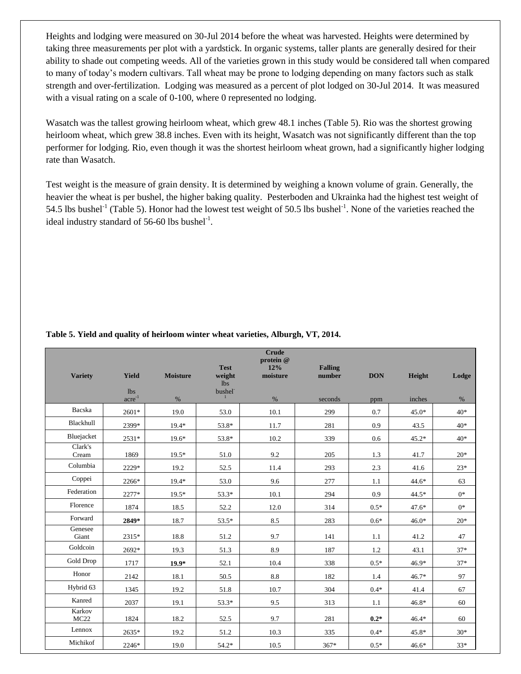Heights and lodging were measured on 30-Jul 2014 before the wheat was harvested. Heights were determined by taking three measurements per plot with a yardstick. In organic systems, taller plants are generally desired for their ability to shade out competing weeds. All of the varieties grown in this study would be considered tall when compared to many of today's modern cultivars. Tall wheat may be prone to lodging depending on many factors such as stalk strength and over-fertilization. Lodging was measured as a percent of plot lodged on 30-Jul 2014. It was measured with a visual rating on a scale of 0-100, where 0 represented no lodging.

Wasatch was the tallest growing heirloom wheat, which grew 48.1 inches (Table 5). Rio was the shortest growing heirloom wheat, which grew 38.8 inches. Even with its height, Wasatch was not significantly different than the top performer for lodging. Rio, even though it was the shortest heirloom wheat grown, had a significantly higher lodging rate than Wasatch.

Test weight is the measure of grain density. It is determined by weighing a known volume of grain. Generally, the heavier the wheat is per bushel, the higher baking quality. Pesterboden and Ukrainka had the highest test weight of 54.5 lbs bushel<sup>-1</sup> (Table 5). Honor had the lowest test weight of 50.5 lbs bushel<sup>-1</sup>. None of the varieties reached the ideal industry standard of 56-60 lbs bushel<sup>-1</sup>.

| <b>Variety</b>   | Yield<br>1 <sub>bs</sub> | <b>Moisture</b> | <b>Test</b><br>weight<br>lbs<br>bushel <sup>-</sup> | <b>Crude</b><br>protein @<br>12%<br>moisture | <b>Falling</b><br>number | <b>DON</b> | Height  | Lodge |
|------------------|--------------------------|-----------------|-----------------------------------------------------|----------------------------------------------|--------------------------|------------|---------|-------|
|                  | $\rm{acre}^{-1}$         | $\%$            | $\overline{1}$                                      | $\%$                                         | seconds                  | ppm        | inches  | %     |
| Bacska           | 2601*                    | 19.0            | 53.0                                                | 10.1                                         | 299                      | 0.7        | 45.0*   | $40*$ |
| Blackhull        | 2399*                    | 19.4*           | 53.8*                                               | 11.7                                         | 281                      | 0.9        | 43.5    | $40*$ |
| Bluejacket       | 2531*                    | $19.6*$         | 53.8*                                               | 10.2                                         | 339                      | 0.6        | $45.2*$ | $40*$ |
| Clark's<br>Cream | 1869                     | $19.5*$         | 51.0                                                | 9.2                                          | 205                      | 1.3        | 41.7    | $20*$ |
| Columbia         | 2229*                    | 19.2            | 52.5                                                | 11.4                                         | 293                      | 2.3        | 41.6    | $23*$ |
| Coppei           | 2266*                    | 19.4*           | 53.0                                                | 9.6                                          | 277                      | 1.1        | $44.6*$ | 63    |
| Federation       | 2277*                    | $19.5*$         | 53.3*                                               | 10.1                                         | 294                      | 0.9        | 44.5*   | $0*$  |
| Florence         | 1874                     | 18.5            | 52.2                                                | 12.0                                         | 314                      | $0.5*$     | 47.6*   | $0*$  |
| Forward          | 2849*                    | 18.7            | 53.5*                                               | 8.5                                          | 283                      | $0.6*$     | $46.0*$ | $20*$ |
| Genesee<br>Giant | 2315*                    | 18.8            | 51.2                                                | 9.7                                          | 141                      | 1.1        | 41.2    | 47    |
| Goldcoin         | 2692*                    | 19.3            | 51.3                                                | 8.9                                          | 187                      | 1.2        | 43.1    | $37*$ |
| Gold Drop        | 1717                     | $19.9*$         | 52.1                                                | 10.4                                         | 338                      | $0.5*$     | 46.9*   | $37*$ |
| Honor            | 2142                     | 18.1            | 50.5                                                | $\!\!\!\!\!8.8$                              | 182                      | 1.4        | $46.7*$ | 97    |
| Hybrid 63        | 1345                     | 19.2            | 51.8                                                | 10.7                                         | 304                      | $0.4*$     | 41.4    | 67    |
| Kanred           | 2037                     | 19.1            | $53.3*$                                             | 9.5                                          | 313                      | 1.1        | $46.8*$ | 60    |
| Karkov<br>MC22   | 1824                     | 18.2            | 52.5                                                | 9.7                                          | 281                      | $0.2*$     | $46.4*$ | 60    |
| Lennox           | 2635*                    | 19.2            | 51.2                                                | 10.3                                         | 335                      | $0.4*$     | 45.8*   | $30*$ |
| Michikof         | 2246*                    | 19.0            | $54.2*$                                             | 10.5                                         | 367*                     | $0.5*$     | $46.6*$ | $33*$ |

**Table 5. Yield and quality of heirloom winter wheat varieties, Alburgh, VT, 2014.**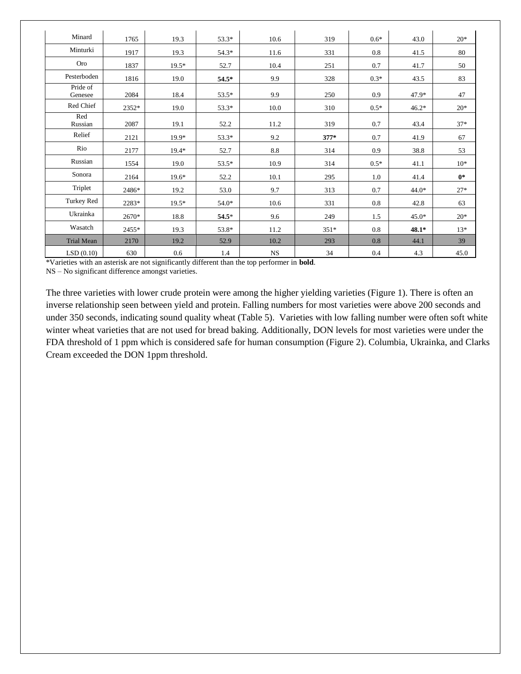| Minard              | 1765  | 19.3    | 53.3*   | 10.6        | 319    | $0.6*$ | 43.0    | $20*$ |
|---------------------|-------|---------|---------|-------------|--------|--------|---------|-------|
| Minturki            | 1917  | 19.3    | 54.3*   | 11.6        | 331    | 0.8    | 41.5    | 80    |
| Oro                 | 1837  | $19.5*$ | 52.7    | 10.4        | 251    | 0.7    | 41.7    | 50    |
| Pesterboden         | 1816  | 19.0    | $54.5*$ | 9.9         | 328    | $0.3*$ | 43.5    | 83    |
| Pride of<br>Genesee | 2084  | 18.4    | $53.5*$ | 9.9         | 250    | 0.9    | 47.9*   | 47    |
| Red Chief           | 2352* | 19.0    | 53.3*   | 10.0        | 310    | $0.5*$ | $46.2*$ | $20*$ |
| Red<br>Russian      | 2087  | 19.1    | 52.2    | 11.2        | 319    | 0.7    | 43.4    | $37*$ |
| Relief              | 2121  | $19.9*$ | 53.3*   | 9.2         | $377*$ | 0.7    | 41.9    | 67    |
| Rio                 | 2177  | $19.4*$ | 52.7    | 8.8         | 314    | 0.9    | 38.8    | 53    |
| Russian             | 1554  | 19.0    | $53.5*$ | 10.9        | 314    | $0.5*$ | 41.1    | $10*$ |
| Sonora              | 2164  | $19.6*$ | 52.2    | 10.1        | 295    | 1.0    | 41.4    | $0*$  |
| Triplet             | 2486* | 19.2    | 53.0    | 9.7         | 313    | 0.7    | $44.0*$ | $27*$ |
| <b>Turkey Red</b>   | 2283* | 19.5*   | 54.0*   | 10.6        | 331    | 0.8    | 42.8    | 63    |
| Ukrainka            | 2670* | 18.8    | $54.5*$ | 9.6         | 249    | 1.5    | $45.0*$ | $20*$ |
| Wasatch             | 2455* | 19.3    | 53.8*   | 11.2        | $351*$ | 0.8    | 48.1*   | $13*$ |
| Trial Mean          | 2170  | 19.2    | 52.9    | 10.2        | 293    | 0.8    | 44.1    | 39    |
| LSD(0.10)           | 630   | 0.6     | 1.4     | $_{\rm NS}$ | 34     | 0.4    | 4.3     | 45.0  |

\*Varieties with an asterisk are not significantly different than the top performer in **bold**.

NS – No significant difference amongst varieties.

The three varieties with lower crude protein were among the higher yielding varieties (Figure 1). There is often an inverse relationship seen between yield and protein. Falling numbers for most varieties were above 200 seconds and under 350 seconds, indicating sound quality wheat (Table 5). Varieties with low falling number were often soft white winter wheat varieties that are not used for bread baking. Additionally, DON levels for most varieties were under the FDA threshold of 1 ppm which is considered safe for human consumption (Figure 2). Columbia, Ukrainka, and Clarks Cream exceeded the DON 1ppm threshold.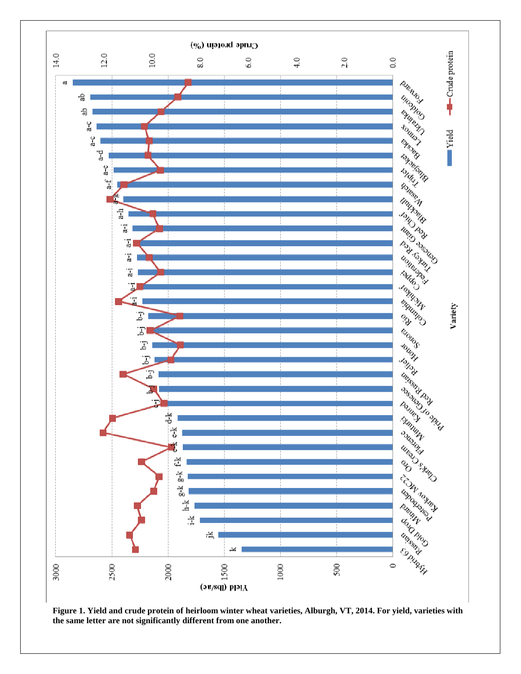

**Figure 1. Yield and crude protein of heirloom winter wheat varieties, Alburgh, VT, 2014. For yield, varieties with the same letter are not significantly different from one another.**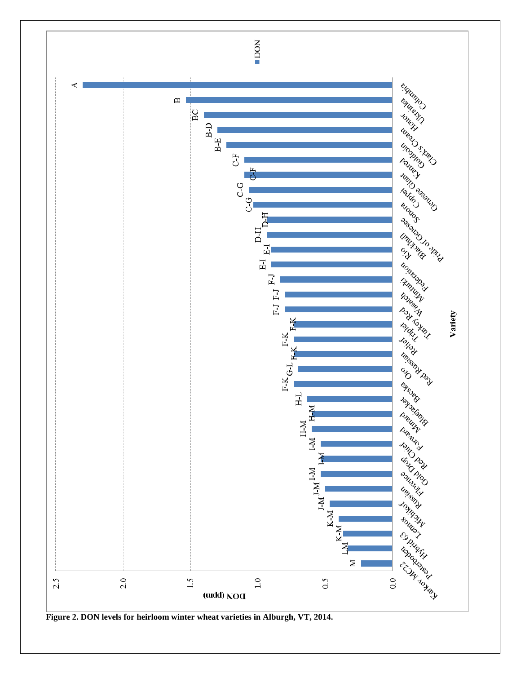